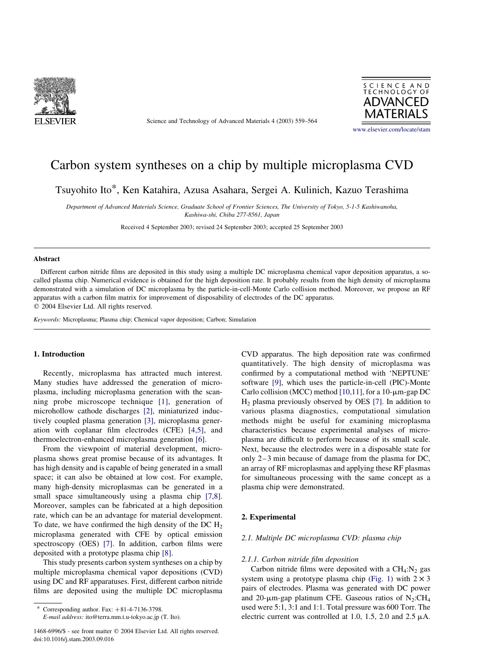

Science and Technology of Advanced Materials 4 (2003) 559–564



# Carbon system syntheses on a chip by multiple microplasma CVD

Tsuyohito Ito\*, Ken Katahira, Azusa Asahara, Sergei A. Kulinich, Kazuo Terashima

Department of Advanced Materials Science, Graduate School of Frontier Sciences, The University of Tokyo, 5-1-5 Kashiwanoha, Kashiwa-shi, Chiba 277-8561, Japan

Received 4 September 2003; revised 24 September 2003; accepted 25 September 2003

## Abstract

Different carbon nitride films are deposited in this study using a multiple DC microplasma chemical vapor deposition apparatus, a socalled plasma chip. Numerical evidence is obtained for the high deposition rate. It probably results from the high density of microplasma demonstrated with a simulation of DC microplasma by the particle-in-cell-Monte Carlo collision method. Moreover, we propose an RF apparatus with a carbon film matrix for improvement of disposability of electrodes of the DC apparatus.

 $©$  2004 Elsevier Ltd. All rights reserved.

Keywords: Microplasma; Plasma chip; Chemical vapor deposition; Carbon; Simulation

# 1. Introduction

Recently, microplasma has attracted much interest. Many studies have addressed the generation of microplasma, including microplasma generation with the scanning probe microscope technique [\[1\],](#page-5-0) generation of microhollow cathode discharges [\[2\]](#page-5-0), miniaturized inductively coupled plasma generation [\[3\]](#page-5-0), microplasma generation with coplanar film electrodes (CFE) [\[4,5\]](#page-5-0), and thermoelectron-enhanced microplasma generation [\[6\]](#page-5-0).

From the viewpoint of material development, microplasma shows great promise because of its advantages. It has high density and is capable of being generated in a small space; it can also be obtained at low cost. For example, many high-density microplasmas can be generated in a small space simultaneously using a plasma chip [\[7,8\]](#page-5-0). Moreover, samples can be fabricated at a high deposition rate, which can be an advantage for material development. To date, we have confirmed the high density of the DC  $H<sub>2</sub>$ microplasma generated with CFE by optical emission spectroscopy (OES) [\[7\]](#page-5-0). In addition, carbon films were deposited with a prototype plasma chip [\[8\].](#page-5-0)

This study presents carbon system syntheses on a chip by multiple microplasma chemical vapor depositions (CVD) using DC and RF apparatuses. First, different carbon nitride films are deposited using the multiple DC microplasma

E-mail address: ito@terra.mm.t.u-tokyo.ac.jp (T. Ito).

CVD apparatus. The high deposition rate was confirmed quantitatively. The high density of microplasma was confirmed by a computational method with 'NEPTUNE' software [\[9\],](#page-5-0) which uses the particle-in-cell (PIC)-Monte Carlo collision (MCC) method [\[10,11\]](#page-5-0), for a 10- $\mu$ m-gap DC H2 plasma previously observed by OES [\[7\]](#page-5-0). In addition to various plasma diagnostics, computational simulation methods might be useful for examining microplasma characteristics because experimental analyses of microplasma are difficult to perform because of its small scale. Next, because the electrodes were in a disposable state for only 2–3 min because of damage from the plasma for DC, an array of RF microplasmas and applying these RF plasmas for simultaneous processing with the same concept as a plasma chip were demonstrated.

## 2. Experimental

#### 2.1. Multiple DC microplasma CVD: plasma chip

### 2.1.1. Carbon nitride film deposition

Carbon nitride films were deposited with a  $CH_4:N_2$  gas system using a prototype plasma chip ([Fig. 1](#page-1-0)) with  $2 \times 3$ pairs of electrodes. Plasma was generated with DC power and 20- $\mu$ m-gap platinum CFE. Gaseous ratios of N<sub>2</sub>:CH<sub>4</sub> used were 5:1, 3:1 and 1:1. Total pressure was 600 Torr. The electric current was controlled at 1.0, 1.5, 2.0 and 2.5  $\mu$ A.

Corresponding author. Fax:  $+81-4-7136-3798$ .

<sup>1468-6996/\$ -</sup> see front matter q 2004 Elsevier Ltd. All rights reserved. doi:10.1016/j.stam.2003.09.016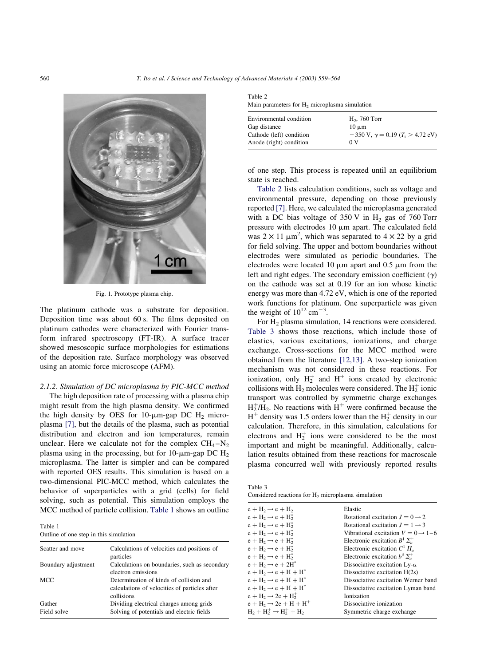<span id="page-1-0"></span>

Fig. 1. Prototype plasma chip.

The platinum cathode was a substrate for deposition. Deposition time was about 60 s. The films deposited on platinum cathodes were characterized with Fourier transform infrared spectroscopy (FT-IR). A surface tracer showed mesoscopic surface morphologies for estimations of the deposition rate. Surface morphology was observed using an atomic force microscope (AFM).

# 2.1.2. Simulation of DC microplasma by PIC-MCC method

The high deposition rate of processing with a plasma chip might result from the high plasma density. We confirmed the high density by OES for 10- $\mu$ m-gap DC H<sub>2</sub> microplasma [\[7\],](#page-5-0) but the details of the plasma, such as potential distribution and electron and ion temperatures, remain unclear. Here we calculate not for the complex  $CH_4-N_2$ plasma using in the processing, but for 10- $\mu$ m-gap DC H<sub>2</sub> microplasma. The latter is simpler and can be compared with reported OES results. This simulation is based on a two-dimensional PIC-MCC method, which calculates the behavior of superparticles with a grid (cells) for field solving, such as potential. This simulation employs the MCC method of particle collision. Table 1 shows an outline

Table 1 Outline of one step in this simulation

| Scatter and move      | Calculations of velocities and positions of<br>particles                                               |
|-----------------------|--------------------------------------------------------------------------------------------------------|
| Boundary adjustment   | Calculations on boundaries, such as secondary<br>electron emissions                                    |
| <b>MCC</b>            | Determination of kinds of collision and<br>calculations of velocities of particles after<br>collisions |
| Gather<br>Field solve | Dividing electrical charges among grids<br>Solving of potentials and electric fields                   |

Table 2 Main parameters for H<sub>2</sub> microplasma simulation

| Environmental condition  | $H2$ , 760 Torr                                        |
|--------------------------|--------------------------------------------------------|
| Gap distance             | $10 \mu m$                                             |
| Cathode (left) condition | $-350$ V, $\gamma = 0.19$ (T <sub>i</sub> $> 4.72$ eV) |
| Anode (right) condition  | 0 V                                                    |
|                          |                                                        |

of one step. This process is repeated until an equilibrium state is reached.

Table 2 lists calculation conditions, such as voltage and environmental pressure, depending on those previously reported [\[7\].](#page-5-0) Here, we calculated the microplasma generated with a DC bias voltage of  $350 \text{ V}$  in H<sub>2</sub> gas of 760 Torr pressure with electrodes  $10 \mu m$  apart. The calculated field was  $2 \times 11 \mu m^2$ , which was separated to  $4 \times 22$  by a grid for field solving. The upper and bottom boundaries without electrodes were simulated as periodic boundaries. The electrodes were located 10  $\mu$ m apart and 0.5  $\mu$ m from the left and right edges. The secondary emission coefficient  $(v)$ on the cathode was set at 0.19 for an ion whose kinetic energy was more than 4.72 eV, which is one of the reported work functions for platinum. One superparticle was given the weight of  $10^{12}$  cm<sup>-3</sup>.

For H<sub>2</sub> plasma simulation, 14 reactions were considered. Table 3 shows those reactions, which include those of elastics, various excitations, ionizations, and charge exchange. Cross-sections for the MCC method were obtained from the literature [\[12,13\].](#page-5-0) A two-step ionization mechanism was not considered in these reactions. For ionization, only  $H_2^+$  and  $H^+$  ions created by electronic collisions with  $H_2$  molecules were considered. The  $H_2^+$  ionic transport was controlled by symmetric charge exchanges  $H_2^{\dagger}/H_2$ . No reactions with  $H^+$  were confirmed because the  $H^{\pm}$  density was 1.5 orders lower than the  $H_2^+$  density in our calculation. Therefore, in this simulation, calculations for electrons and  $H_2^+$  ions were considered to be the most important and might be meaningful. Additionally, calculation results obtained from these reactions for macroscale plasma concurred well with previously reported results

Considered reactions for  $H_2$  microplasma simulation

Table 3

| $e + H_2 \rightarrow e + H_2$         | Elastic                                        |
|---------------------------------------|------------------------------------------------|
| $e + H_2 \rightarrow e + H_2^*$       | Rotational excitation $J = 0 \rightarrow 2$    |
| $e + H_2 \rightarrow e + H_2^*$       | Rotational excitation $J = 1 \rightarrow 3$    |
| $e + H_2 \rightarrow e + H_2^*$       | Vibrational excitation $V = 0 \rightarrow 1-6$ |
| $e + H_2 \rightarrow e + H_2^*$       | Electronic excitation $B^1 \Sigma_n^+$         |
| $e + H_2 \rightarrow e + H_2^*$       | Electronic excitation $C^1 \Pi_u$              |
| $e + H_2 \rightarrow e + H_2^*$       | Electronic excitation $b^3 \Sigma_u^+$         |
| $e + H_2 \rightarrow e + 2H^*$        | Dissociative excitation $Ly-\alpha$            |
| $e + H_2 \rightarrow e + H + H^*$     | Dissociative excitation $H(2s)$                |
| $e + H_2 \rightarrow e + H + H^*$     | Dissociative excitation Werner band            |
| $e + H_2 \rightarrow e + H + H^*$     | Dissociative excitation Lyman band             |
| $e + H_2 \rightarrow 2e + H_2^+$      | Ionization                                     |
| $e + H_2 \rightarrow 2e + H + H^+$    | Dissociative ionization                        |
| $H_2 + H_2^+ \rightarrow H_2^+ + H_2$ | Symmetric charge exchange                      |
|                                       |                                                |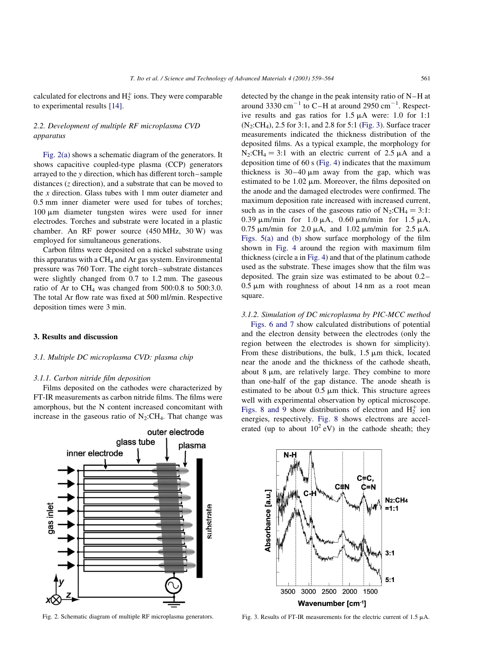calculated for electrons and  $H_2^+$  ions. They were comparable to experimental results [\[14\]](#page-5-0).

# 2.2. Development of multiple RF microplasma CVD apparatus

Fig. 2(a) shows a schematic diagram of the generators. It shows capacitive coupled-type plasma (CCP) generators arrayed to the y direction, which has different torch–sample distances (z direction), and a substrate that can be moved to the  $x$  direction. Glass tubes with 1 mm outer diameter and 0.5 mm inner diameter were used for tubes of torches;  $100 \mu m$  diameter tungsten wires were used for inner electrodes. Torches and substrate were located in a plastic chamber. An RF power source (450 MHz, 30 W) was employed for simultaneous generations.

Carbon films were deposited on a nickel substrate using this apparatus with a  $CH<sub>4</sub>$  and Ar gas system. Environmental pressure was 760 Torr. The eight torch–substrate distances were slightly changed from 0.7 to 1.2 mm. The gaseous ratio of Ar to  $CH_4$  was changed from 500:0.8 to 500:3.0. The total Ar flow rate was fixed at 500 ml/min. Respective deposition times were 3 min.

# 3. Results and discussion

### 3.1. Multiple DC microplasma CVD: plasma chip

## 3.1.1. Carbon nitride film deposition

Films deposited on the cathodes were characterized by FT-IR measurements as carbon nitride films. The films were amorphous, but the N content increased concomitant with increase in the gaseous ratio of  $N_2$ :CH<sub>4</sub>. That change was

detected by the change in the peak intensity ratio of N–H at around 3330 cm<sup>-1</sup> to C-H at around 2950 cm<sup>-1</sup>. Respective results and gas ratios for  $1.5 \mu A$  were: 1.0 for 1:1 (N2:CH4), 2.5 for 3:1, and 2.8 for 5:1 (Fig. 3). Surface tracer measurements indicated the thickness distribution of the deposited films. As a typical example, the morphology for  $N_2$ :CH<sub>4</sub> = 3:1 with an electric current of 2.5  $\mu$ A and a deposition time of 60 s ([Fig. 4](#page-3-0)) indicates that the maximum thickness is  $30-40 \mu m$  away from the gap, which was estimated to be  $1.02 \mu m$ . Moreover, the films deposited on the anode and the damaged electrodes were confirmed. The maximum deposition rate increased with increased current, such as in the cases of the gaseous ratio of  $N_2:CH_4 = 3:1$ : 0.39  $\mu$ m/min for 1.0  $\mu$ A, 0.60  $\mu$ m/min for 1.5  $\mu$ A,  $0.75 \mu$ m/min for  $2.0 \mu$ A, and  $1.02 \mu$ m/min for  $2.5 \mu$ A. [Figs. 5\(a\) and \(b\)](#page-3-0) show surface morphology of the film shown in [Fig. 4](#page-3-0) around the region with maximum film thickness (circle a in [Fig. 4\)](#page-3-0) and that of the platinum cathode used as the substrate. These images show that the film was deposited. The grain size was estimated to be about 0.2–  $0.5 \mu m$  with roughness of about 14 nm as a root mean square.

# 3.1.2. Simulation of DC microplasma by PIC-MCC method

[Figs. 6 and 7](#page-3-0) show calculated distributions of potential and the electron density between the electrodes (only the region between the electrodes is shown for simplicity). From these distributions, the bulk,  $1.5 \mu m$  thick, located near the anode and the thickness of the cathode sheath, about  $8 \mu m$ , are relatively large. They combine to more than one-half of the gap distance. The anode sheath is estimated to be about  $0.5 \mu m$  thick. This structure agrees well with experimental observation by optical microscope. [Figs. 8 and 9](#page-4-0) show distributions of electron and  $H_2^+$  ion energies, respectively. [Fig. 8](#page-4-0) shows electrons are accelerated (up to about  $10^2$  eV) in the cathode sheath; they





Fig. 2. Schematic diagram of multiple RF microplasma generators. Fig. 3. Results of FT-IR measurements for the electric current of 1.5  $\mu$ A.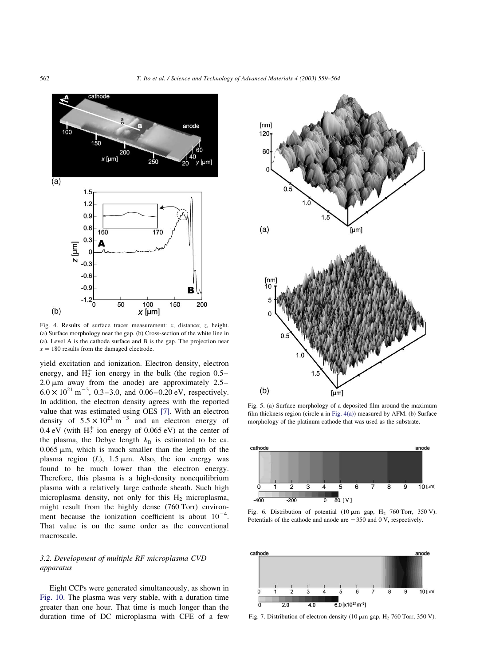<span id="page-3-0"></span>

Fig. 4. Results of surface tracer measurement: x, distance; z, height. (a) Surface morphology near the gap. (b) Cross-section of the white line in (a). Level A is the cathode surface and B is the gap. The projection near  $x = 180$  results from the damaged electrode.

yield excitation and ionization. Electron density, electron energy, and  $H_2^+$  ion energy in the bulk (the region 0.5– 2.0  $\mu$ m away from the anode) are approximately 2.5–  $6.0 \times 10^{21}$  m<sup>-3</sup>, 0.3-3.0, and 0.06-0.20 eV, respectively. In addition, the electron density agrees with the reported value that was estimated using OES [\[7\].](#page-5-0) With an electron density of  $5.5 \times 10^{21}$  m<sup>-3</sup> and an electron energy of 0.4 eV (with  $H_2^+$  ion energy of 0.065 eV) at the center of the plasma, the Debye length  $\lambda_D$  is estimated to be ca.  $0.065 \mu m$ , which is much smaller than the length of the plasma region  $(L)$ , 1.5  $\mu$ m. Also, the ion energy was found to be much lower than the electron energy. Therefore, this plasma is a high-density nonequilibrium plasma with a relatively large cathode sheath. Such high microplasma density, not only for this  $H_2$  microplasma, might result from the highly dense (760 Torr) environment because the ionization coefficient is about  $10^{-4}$ . That value is on the same order as the conventional macroscale.

# 3.2. Development of multiple RF microplasma CVD apparatus

Eight CCPs were generated simultaneously, as shown in [Fig. 10.](#page-4-0) The plasma was very stable, with a duration time greater than one hour. That time is much longer than the duration time of DC microplasma with CFE of a few



Fig. 5. (a) Surface morphology of a deposited film around the maximum film thickness region (circle a in Fig. 4(a)) measured by AFM. (b) Surface morphology of the platinum cathode that was used as the substrate.



Fig. 6. Distribution of potential (10  $\mu$ m gap, H<sub>2</sub> 760 Torr, 350 V). Potentials of the cathode and anode are  $-350$  and 0 V, respectively.



Fig. 7. Distribution of electron density (10  $\mu$ m gap, H<sub>2</sub> 760 Torr, 350 V).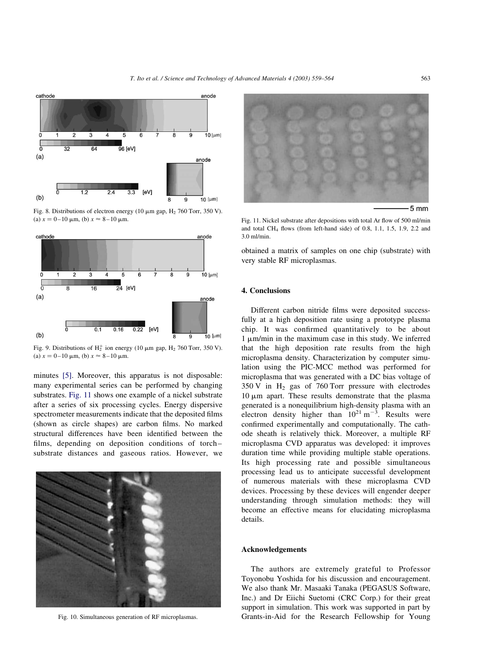<span id="page-4-0"></span>

Fig. 8. Distributions of electron energy (10  $\mu$ m gap, H<sub>2</sub> 760 Torr, 350 V). (a)  $x = 0-10 \mu \text{m}$ , (b)  $x \approx 8-10 \mu \text{m}$ .



Fig. 9. Distributions of  $H_2^+$  ion energy (10  $\mu$ m gap,  $H_2$  760 Torr, 350 V). (a)  $x = 0-10 \mu m$ , (b)  $x \approx 8-10 \mu m$ .

minutes [\[5\].](#page-5-0) Moreover, this apparatus is not disposable: many experimental series can be performed by changing substrates. Fig. 11 shows one example of a nickel substrate after a series of six processing cycles. Energy dispersive spectrometer measurements indicate that the deposited films (shown as circle shapes) are carbon films. No marked structural differences have been identified between the films, depending on deposition conditions of torch– substrate distances and gaseous ratios. However, we



Fig. 10. Simultaneous generation of RF microplasmas.



Fig. 11. Nickel substrate after depositions with total Ar flow of 500 ml/min and total CH<sub>4</sub> flows (from left-hand side) of 0.8, 1.1, 1.5, 1.9, 2.2 and 3.0 ml/min.

obtained a matrix of samples on one chip (substrate) with very stable RF microplasmas.

# 4. Conclusions

Different carbon nitride films were deposited successfully at a high deposition rate using a prototype plasma chip. It was confirmed quantitatively to be about  $1 \mu m/min$  in the maximum case in this study. We inferred that the high deposition rate results from the high microplasma density. Characterization by computer simulation using the PIC-MCC method was performed for microplasma that was generated with a DC bias voltage of  $350 \text{ V}$  in H<sub>2</sub> gas of 760 Torr pressure with electrodes  $10 \mu m$  apart. These results demonstrate that the plasma generated is a nonequilibrium high-density plasma with an electron density higher than  $10^{21} \text{ m}^{-3}$ . Results were confirmed experimentally and computationally. The cathode sheath is relatively thick. Moreover, a multiple RF microplasma CVD apparatus was developed: it improves duration time while providing multiple stable operations. Its high processing rate and possible simultaneous processing lead us to anticipate successful development of numerous materials with these microplasma CVD devices. Processing by these devices will engender deeper understanding through simulation methods: they will become an effective means for elucidating microplasma details.

### Acknowledgements

The authors are extremely grateful to Professor Toyonobu Yoshida for his discussion and encouragement. We also thank Mr. Masaaki Tanaka (PEGASUS Software, Inc.) and Dr Eiichi Suetomi (CRC Corp.) for their great support in simulation. This work was supported in part by Grants-in-Aid for the Research Fellowship for Young